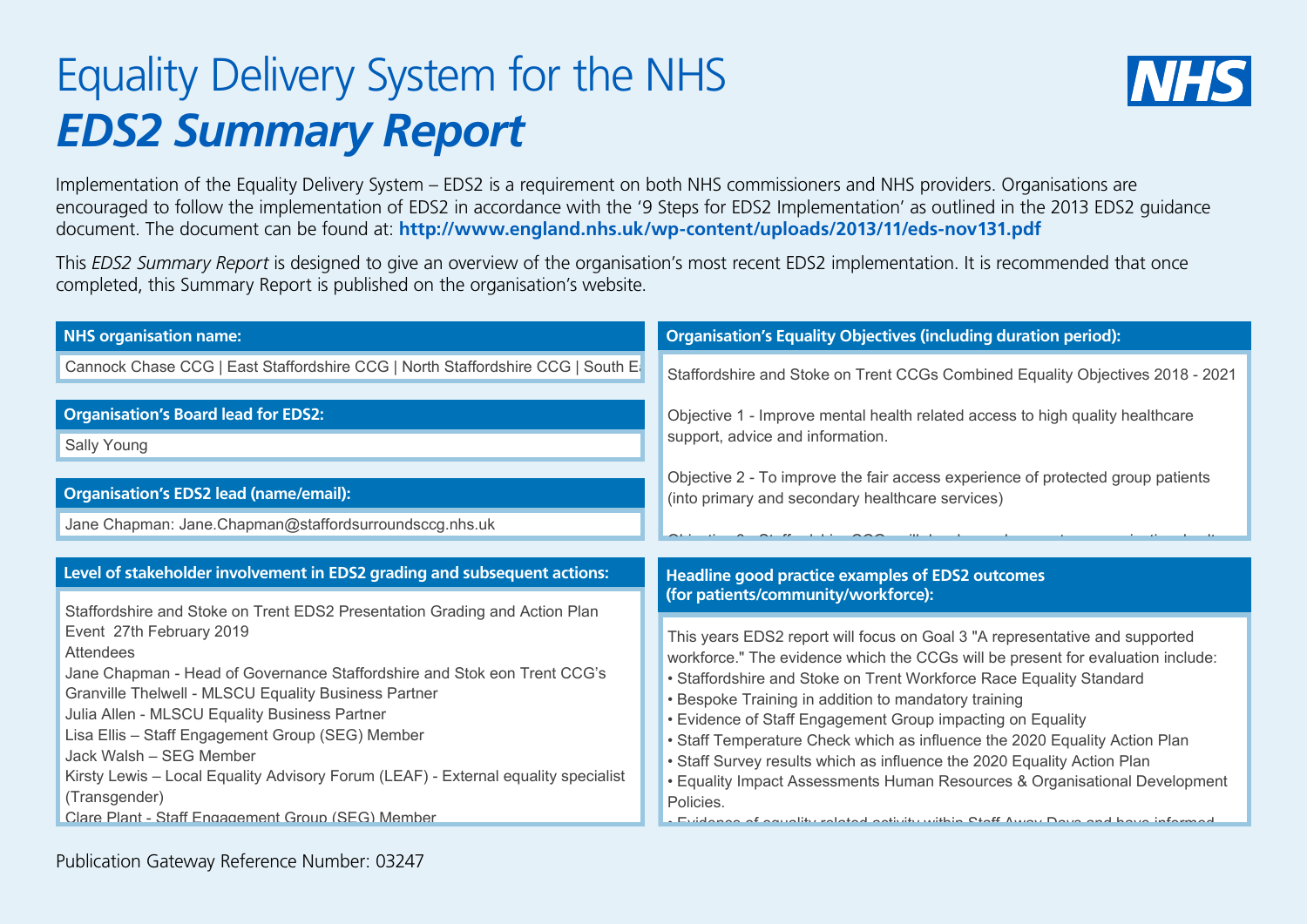## Equality Delivery System for the NHS *EDS2 Summary Report*



Implementation of the Equality Delivery System – EDS2 is a requirement on both NHS commissioners and NHS providers. Organisations are encouraged to follow the implementation of EDS2 in accordance with the '9 Steps for EDS2 Implementation' as outlined in the 2013 EDS2 guidance document. The document can be found at: **http://www.england.nhs.uk/wp-content/uploads/2013/11/eds-nov131.pdf**

This *EDS2 Summary Report* is designed to give an overview of the organisation's most recent EDS2 implementation. It is recommended that once completed, this Summary Report is published on the organisation's website.

| <b>NHS organisation name:</b>                                                                                                                                                                                                                                                                                                                                                                                                                                                                                                                              | <b>Organisation's Equality Objectives (including duration period):</b>                                                                                                                                                                                                                                                                                                                                                                                                                                                                                                                                                                                                                                                                      |
|------------------------------------------------------------------------------------------------------------------------------------------------------------------------------------------------------------------------------------------------------------------------------------------------------------------------------------------------------------------------------------------------------------------------------------------------------------------------------------------------------------------------------------------------------------|---------------------------------------------------------------------------------------------------------------------------------------------------------------------------------------------------------------------------------------------------------------------------------------------------------------------------------------------------------------------------------------------------------------------------------------------------------------------------------------------------------------------------------------------------------------------------------------------------------------------------------------------------------------------------------------------------------------------------------------------|
| Cannock Chase CCG   East Staffordshire CCG   North Staffordshire CCG   South E                                                                                                                                                                                                                                                                                                                                                                                                                                                                             | Staffordshire and Stoke on Trent CCGs Combined Equality Objectives 2018 - 2021                                                                                                                                                                                                                                                                                                                                                                                                                                                                                                                                                                                                                                                              |
| <b>Organisation's Board lead for EDS2:</b><br>Sally Young                                                                                                                                                                                                                                                                                                                                                                                                                                                                                                  | Objective 1 - Improve mental health related access to high quality healthcare<br>support, advice and information.<br>Objective 2 - To improve the fair access experience of protected group patients                                                                                                                                                                                                                                                                                                                                                                                                                                                                                                                                        |
| <b>Organisation's EDS2 lead (name/email):</b>                                                                                                                                                                                                                                                                                                                                                                                                                                                                                                              | (into primary and secondary healthcare services)                                                                                                                                                                                                                                                                                                                                                                                                                                                                                                                                                                                                                                                                                            |
| Jane Chapman: Jane.Chapman@staffordsurroundsccg.nhs.uk                                                                                                                                                                                                                                                                                                                                                                                                                                                                                                     |                                                                                                                                                                                                                                                                                                                                                                                                                                                                                                                                                                                                                                                                                                                                             |
| Level of stakeholder involvement in EDS2 grading and subsequent actions:                                                                                                                                                                                                                                                                                                                                                                                                                                                                                   | <b>Headline good practice examples of EDS2 outcomes</b>                                                                                                                                                                                                                                                                                                                                                                                                                                                                                                                                                                                                                                                                                     |
| Staffordshire and Stoke on Trent EDS2 Presentation Grading and Action Plan<br>Event 27th February 2019<br><b>Attendees</b><br>Jane Chapman - Head of Governance Staffordshire and Stok eon Trent CCG's<br>Granville Thelwell - MLSCU Equality Business Partner<br>Julia Allen - MLSCU Equality Business Partner<br>Lisa Ellis - Staff Engagement Group (SEG) Member<br>Jack Walsh - SEG Member<br>Kirsty Lewis - Local Equality Advisory Forum (LEAF) - External equality specialist<br>(Transgender)<br>Clare Plant - Staff Engagement Group (SEG) Member | (for patients/community/workforce):<br>This years EDS2 report will focus on Goal 3 "A representative and supported<br>workforce." The evidence which the CCGs will be present for evaluation include:<br>• Staffordshire and Stoke on Trent Workforce Race Equality Standard<br>• Bespoke Training in addition to mandatory training<br>• Evidence of Staff Engagement Group impacting on Equality<br>• Staff Temperature Check which as influence the 2020 Equality Action Plan<br>• Staff Survey results which as influence the 2020 Equality Action Plan<br>• Equality Impact Assessments Human Resources & Organisational Development<br>Policies.<br>. Fuidence of courtiles related activity within Ctaff Away Down and hour informed |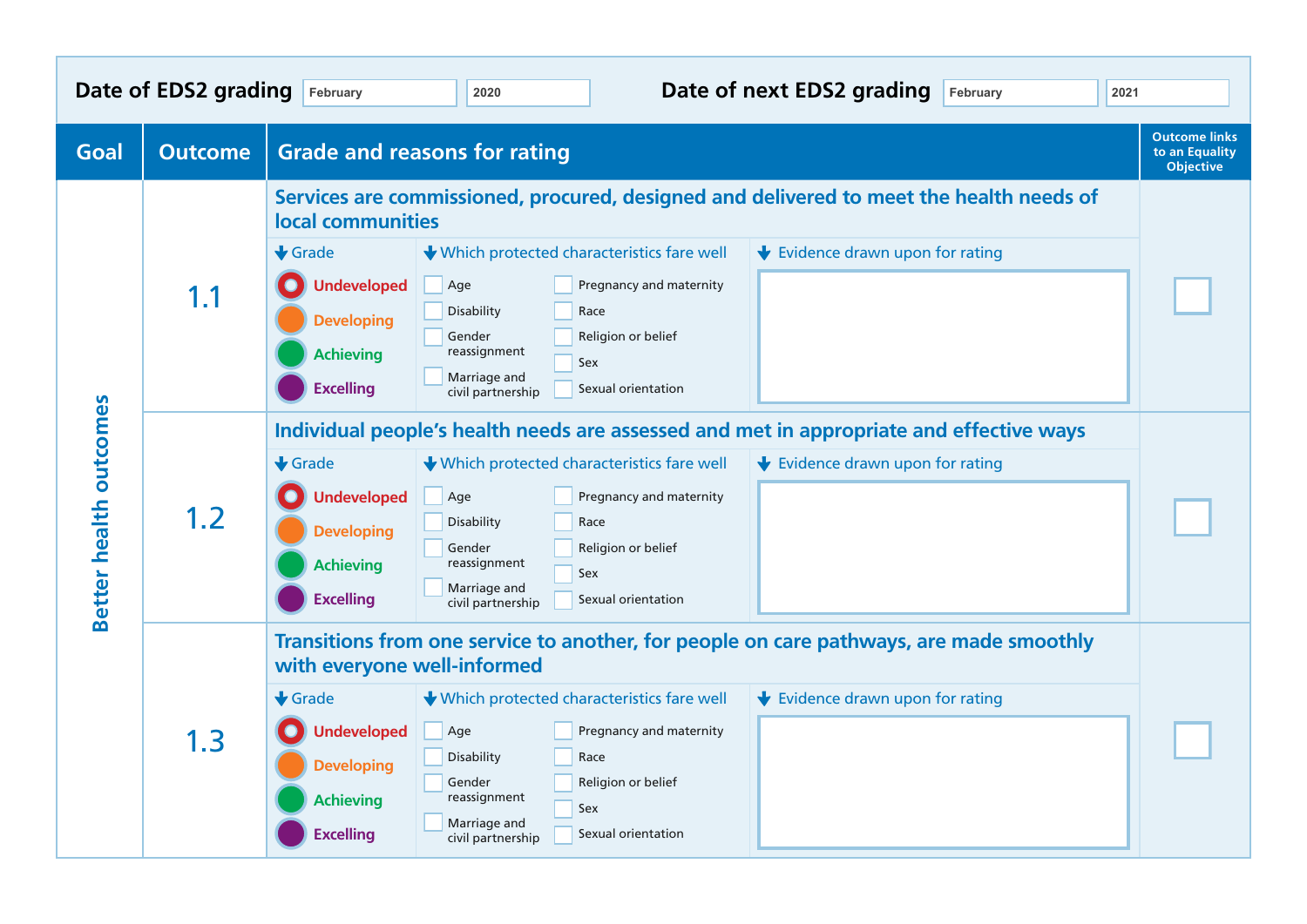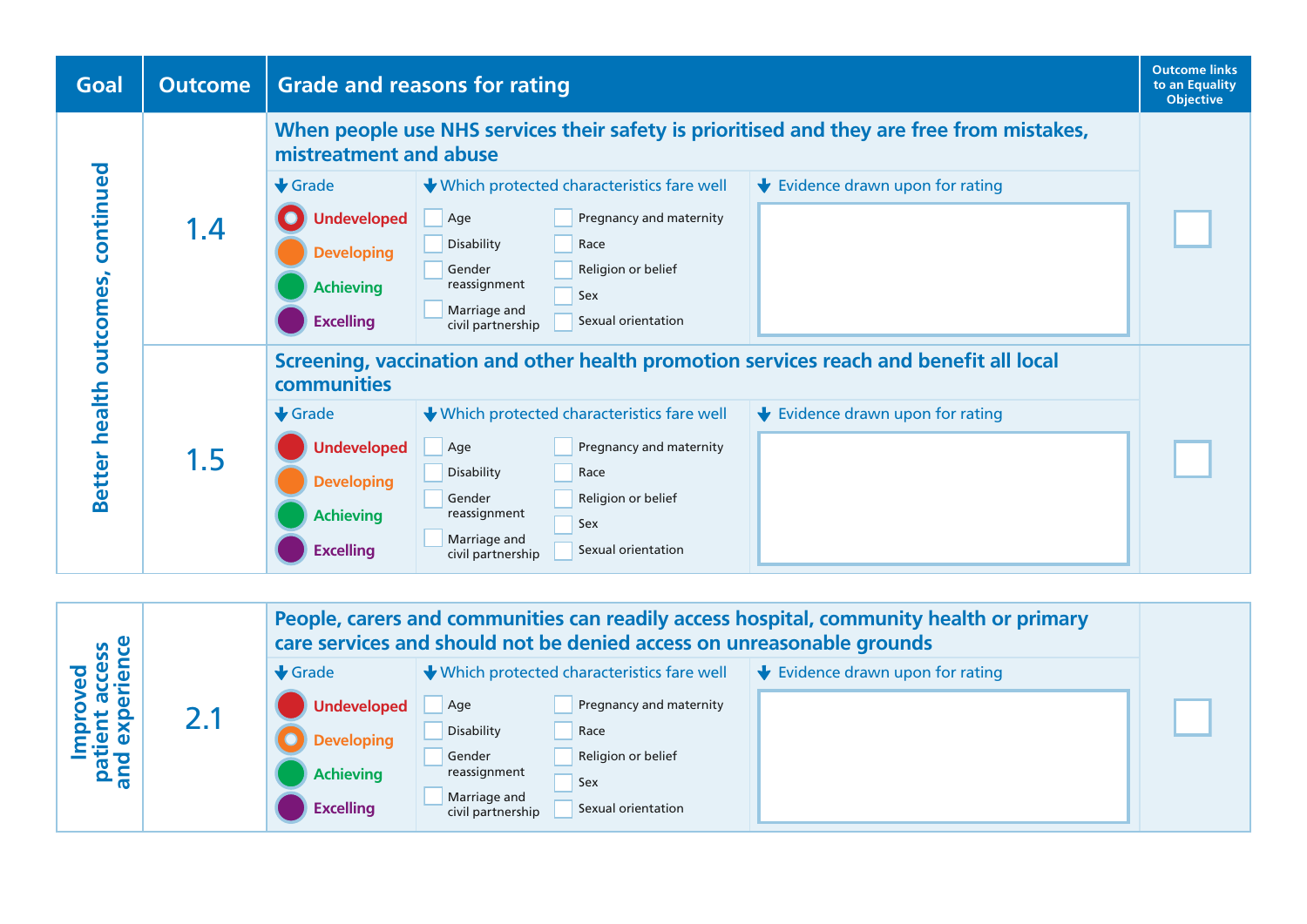

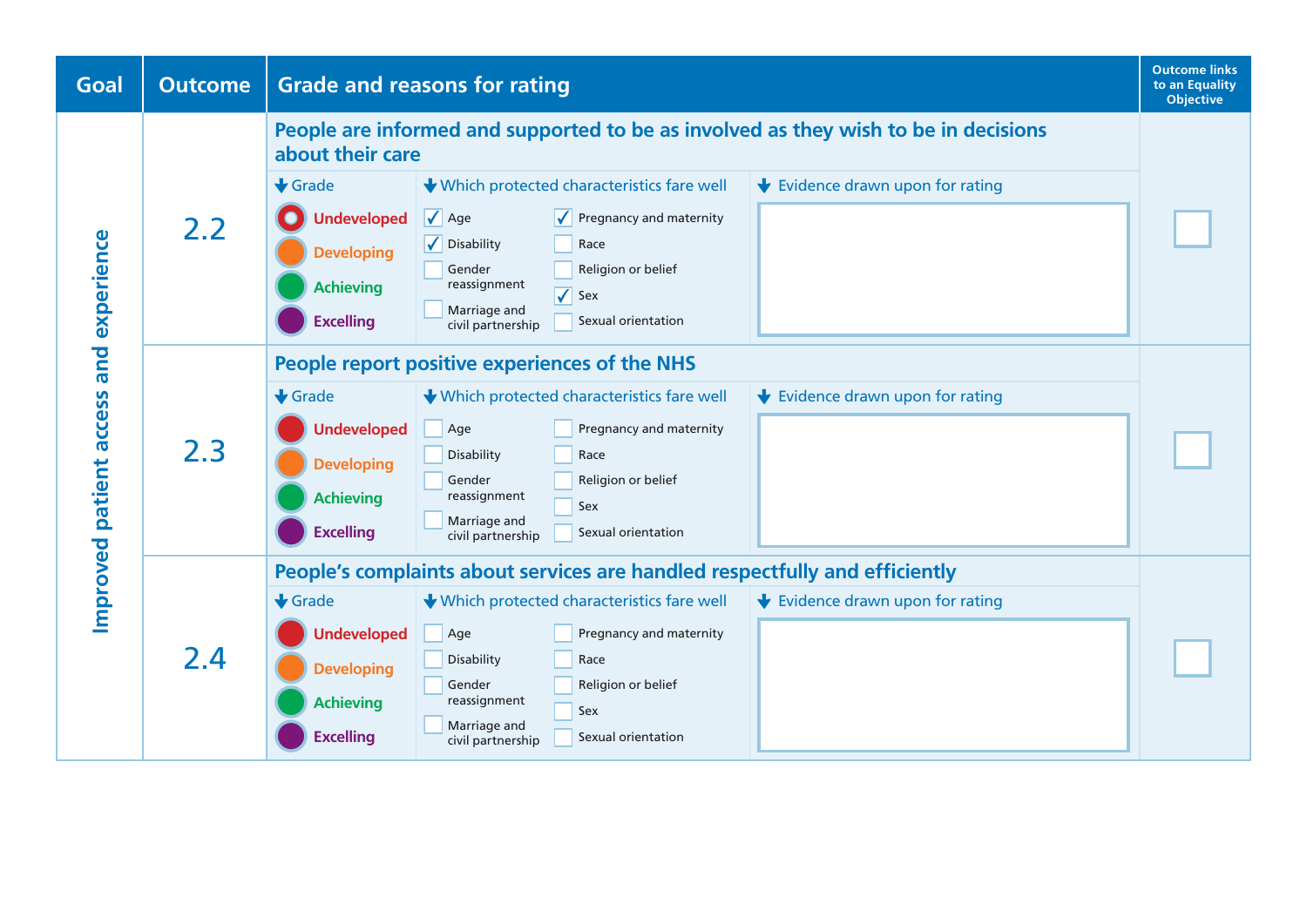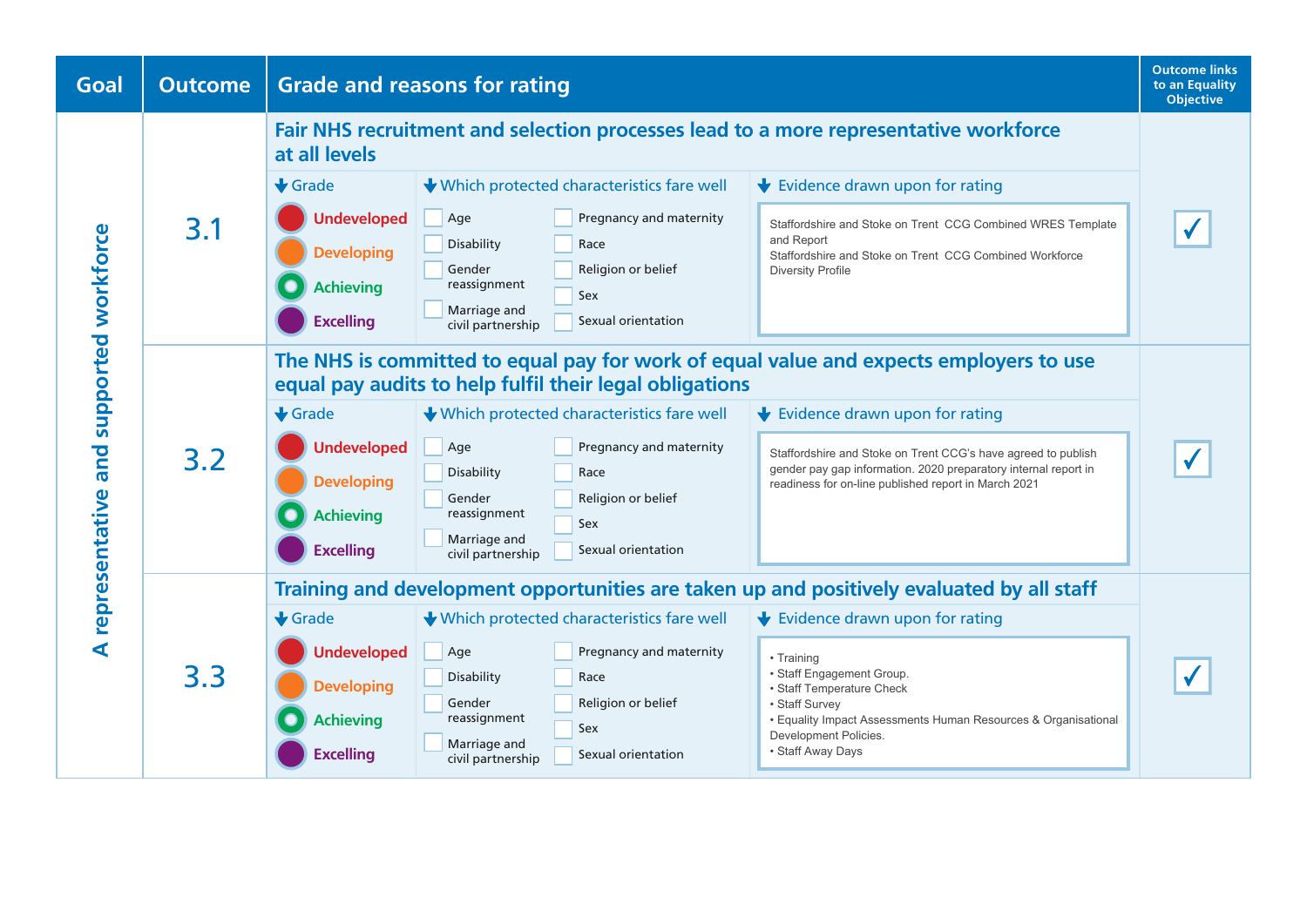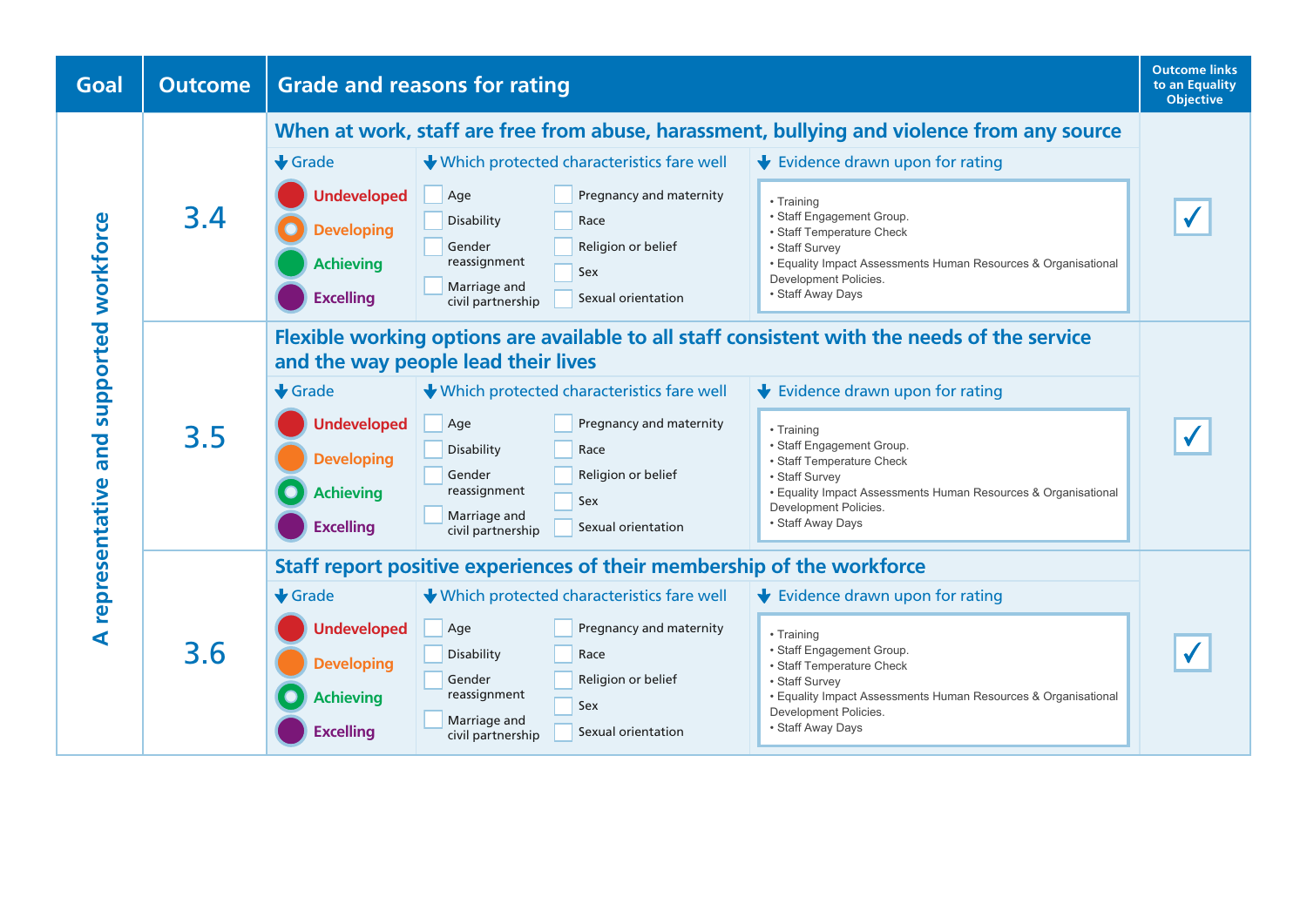